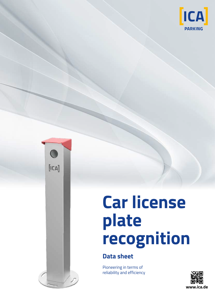



## **Car license plate recognition**

## **Data sheet**

Pioneering in terms of reliability and efficiency